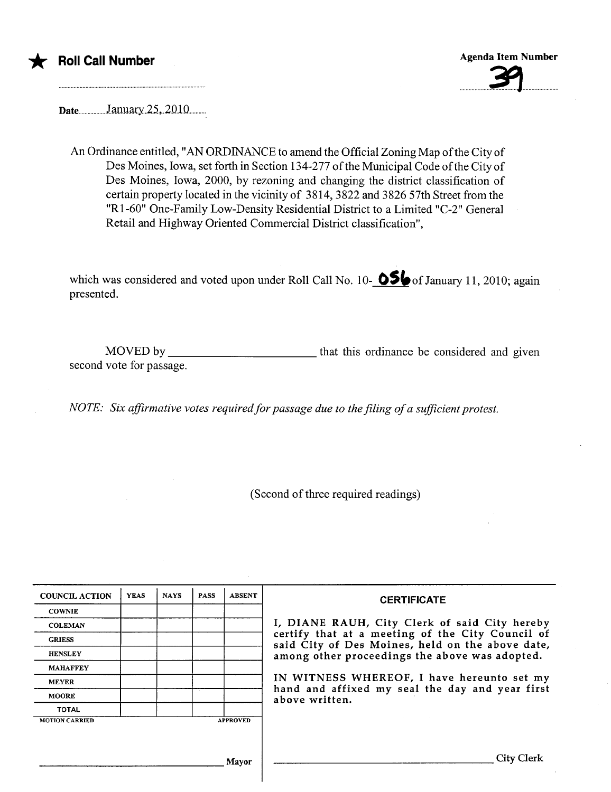

Date.................January.25,.2010...........

An Ordinance entitled, "AN ORDINANCE to amend the Official Zoning Map of the City of Des Moines, Iowa, set forth in Section 134-277 of the Municipal Code of the City of Des Moines, Iowa, 2000, by rezoning and changing the district classification of certain property located in the vicinity of 3814,3822 and 3826 57th Street from the "RI-60" One-Family Low-Density Residential District to a Limited "C-2" General Retail and Highway Oriented Commercial District classification",

which was considered and voted upon under Roll Call No. 10- $\bigotimes$  of January 11, 2010; again presented.

MOVED by \_\_\_\_\_\_\_\_\_\_\_\_\_\_\_\_\_\_\_\_\_\_\_\_\_\_\_\_\_\_\_\_that this ordinance be considered and given second vote for passage.

NOTE: Six affirmative votes required for passage due to the filing of a sufficient protest.

(Second of three required readings)

| <b>COUNCIL ACTION</b> | <b>YEAS</b> | <b>NAYS</b> | <b>PASS</b> | <b>ABSENT</b>   | <b>CERTIFICATE</b>                                                                                   |
|-----------------------|-------------|-------------|-------------|-----------------|------------------------------------------------------------------------------------------------------|
| <b>COWNIE</b>         |             |             |             |                 |                                                                                                      |
| <b>COLEMAN</b>        |             |             |             |                 | I, DIANE RAUH, City Clerk of said City hereby                                                        |
| <b>GRIESS</b>         |             |             |             |                 | certify that at a meeting of the City Council of<br>said City of Des Moines, held on the above date, |
| <b>HENSLEY</b>        |             |             |             |                 | among other proceedings the above was adopted.                                                       |
| <b>MAHAFFEY</b>       |             |             |             |                 |                                                                                                      |
| <b>MEYER</b>          |             |             |             |                 | IN WITNESS WHEREOF, I have hereunto set my                                                           |
| <b>MOORE</b>          |             |             |             |                 | hand and affixed my seal the day and year first<br>above written.                                    |
| <b>TOTAL</b>          |             |             |             |                 |                                                                                                      |
| <b>MOTION CARRIED</b> |             |             |             | <b>APPROVED</b> |                                                                                                      |
|                       |             |             |             |                 |                                                                                                      |
|                       |             |             |             |                 |                                                                                                      |
|                       |             |             |             | Mavor           | City Clerk                                                                                           |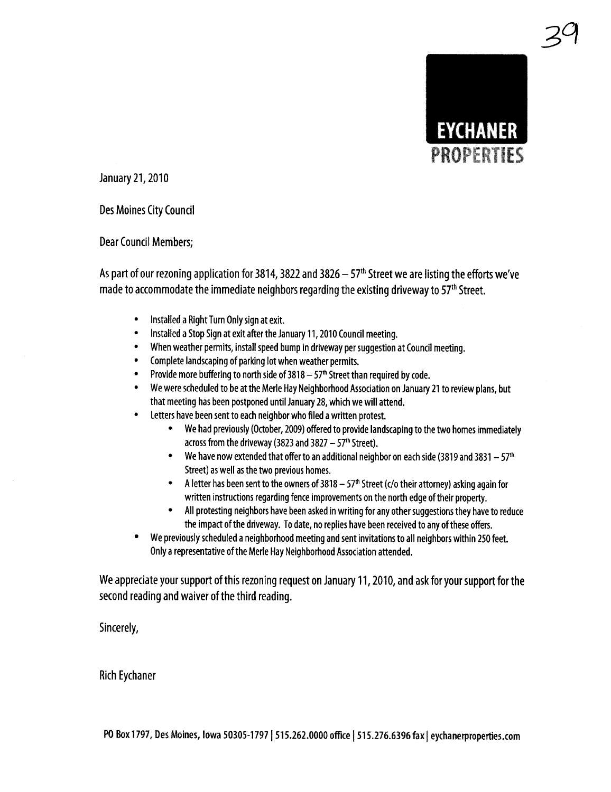

3a

January 21, 2010

Des Moines City Council

Dear Council Members;

As part of our rezoning application for 3814, 3822 and 3826  $-57<sup>th</sup>$  Street we are listing the efforts we've made to accommodate the immediate neighbors regarding the existing driveway to  $57<sup>th</sup>$  Street.

- · Installed a Right Turn Only sign at exit.
- · Installed a Stop Sign at exit after the January 11, 2010 Council meeting.
- · When weather permits, install speed bump in driveway per suggestion at Council meeting.
- · Complete landscaping of parking lot when weather permits.
- Provide more buffering to north side of  $3818 57$ <sup>th</sup> Street than required by code.
- · We were scheduled to be at the Merle Hay Neighborhood Association on January 21 to review plans, but that meeting has been postponed until January 28, which we wil attend.
- · Letters have been sent to each neighbor who fied a written protest.
	- · We had previously (October, 2009) offered to provide landscaping to the two homes immediately across from the driveway (3823 and 3827  $-57<sup>th</sup>$  Street).
	- We have now extended that offer to an additional neighbor on each side (3819 and 3831  $-57<sup>th</sup>$ Street) as well as the two previous homes.
	- A letter has been sent to the owners of 3818  $57<sup>th</sup>$  Street (c/o their attorney) asking again for written instructions regarding fence improvements on the north edge of their property.
	- · All protesting neighbors have been asked in writing for any other suggestions they have to reduce the impact of the driveway. To date, no replies have been received to any of these offers.
- · We previously scheduled a neighborhood meeting and sent invitations to all neighbors within 250 feet. Only a representative of the Merle Hay Neighborhood Association attended.

We appreciate your support of this rezoning request on January 11, 2010, and ask for your support for the second reading and waiver of the third reading.

Sincerely,

Rich Eychaner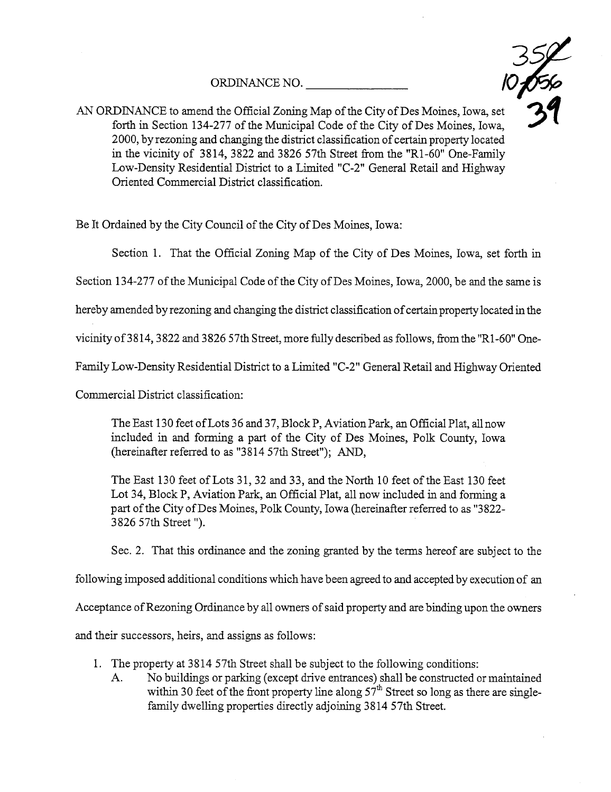ORDINANCE NO.



ORDINANCE NO. 124 277 of the Map of the City of Des Moines, Iowa, set forth in Section 134-277 of the Muncipal Code of the City of Des Moines, Iowa, 2000, by rezoning and changing the district classification of certain property located in the vicinity of 3814, 3822 and 3826 57th Street from the "R1-60" One-Family Low-Density Residential District to a Limited "C-2" General Retail and Highway Oriented Commercial District classification.

Be It Ordained by the City Council of the City of Des Moines, Iowa:

Section 1. That the Official Zoning Map of the City of Des Moines, Iowa, set forth in

Section 134-277 of the Municipal Code of the City of Des Moines, Iowa, 2000, be and the same is

hereby amended by rezoning and changing the district classification of certain property located in the

vicinty of3814, 3822 and 3826 57th Street, more fully described as follows, from the "Rl-60" One-

Family Low-Density Residential District to a Limited "C-2" General Retail and Highway Oriented

Commercial District classification:

The East 130 feet of Lots 36 and 37, Block P, Aviation Park, an Official Plat, all now included in and forming a part of the City of Des Moines, Polk County, Iowa (hereinafter referred to as  $"3814\;57th$  Street"); AND,

The East 130 feet of Lots 31, 32 and 33, and the North 10 feet of the East 130 feet Lot 34, Block P, Aviation Park, an Official Plat, all now included in and forming a part of the City of Des Moines, Polk County, Iowa (hereinafter referred to as "3822-3826 57th Street ").

Sec. 2. That this ordiance and the zoning granted by the terms hereof are subject to the

following imposed additional conditions which have been agreed to and accepted by execution of an

Acceptance of Rezoning Ordinance by all owners of said property and are binding upon the owners

and their successors, heirs, and assigns as follows:

- 1. The property at 3814 57th Street shall be subject to the following conditions:
	- A. No buildings or parking (except drive entrances) shall be constructed or maintained within 30 feet of the front property line along  $57<sup>th</sup>$  Street so long as there are singlefamily dwelling properties directly adjoining 3814 57th Street.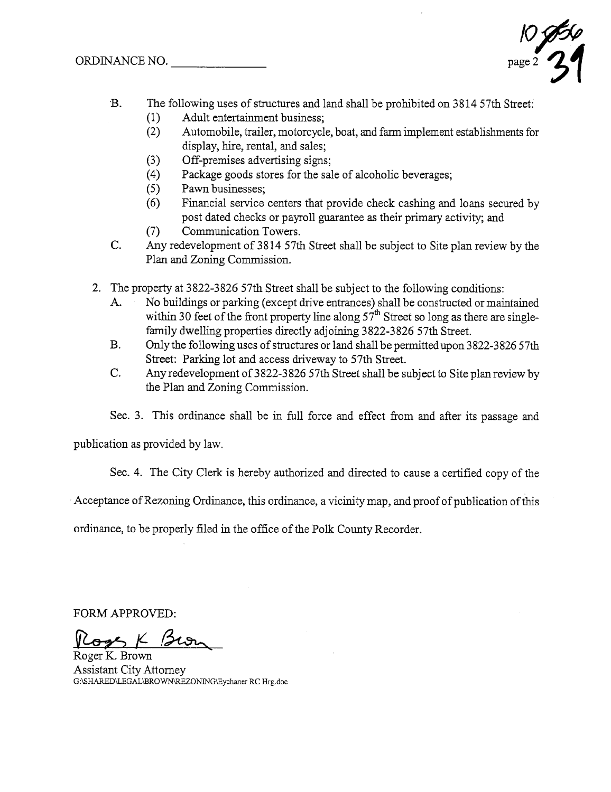$\sqrt{\frac{1}{\rho}}$ 

- 'B. The following uses of structures and land shall be prohibited on 3814 57th Street:
	- (1) Adult entertainment business;<br>(2) Automobile, trailer, motorcycle
	- Automobile, trailer, motorcycle, boat, and farm implement establishments for display, hire, rental, and sales;
	-
	- (3) Off-premises advertising signs;<br>(4) Package goods stores for the sal (4) Package goods stores for the sale of alcoholic beverages;<br>(5) Pawn businesses;
	- (5) Pawn businesses;<br>(6) Financial service
	- Financial service centers that provide check cashing and loans secured by post dated checks or payroll guarantee as their primary activity; and
	- (7) Communication Towers.
- C. Any redevelopment of 3814 57th Street shall be subject to Site plan review by the Plan and Zoning Commission.
- 2. The property at 3822-3826 57th Street shall be subject to the following conditions:
	- A. No buildings or parking (except drive entrances) shall be constructed or maintained within 30 feet of the front property line along  $57<sup>th</sup>$  Street so long as there are singlefamily dwelling properties directly adjoining 3822-3826 57th Street.
	- B. Only the following uses of structures or land shall be permitted upon 3822-3826 57th Street: Parking lot and access driveway to 57th Street.
	- C. Any redevelopment of3822-3826 57th Street shall be subject to Site plan review by the Plan and Zoning Commission.
	- Sec. 3. This ordinance shall be in full force and effect from and after its passage and

publication as provided by law.

Sec. 4. The City Clerk is hereby authorized and directed to cause a certified copy of the

Acceptance of Rezoning Ordinance, this ordinance, a vicinity map, and proof of publication of this

ordinance, to be properly filed in the office of the Polk County Recorder.

FORM APPROVED:

 $\frac{V_{\text{C}}}{V_{\text{Roger K. Brown}}}$ 

Assistant City Attorney G:\SHARED\LEGAL\BROWN\REZONING\Eychaner RC Hrg.doc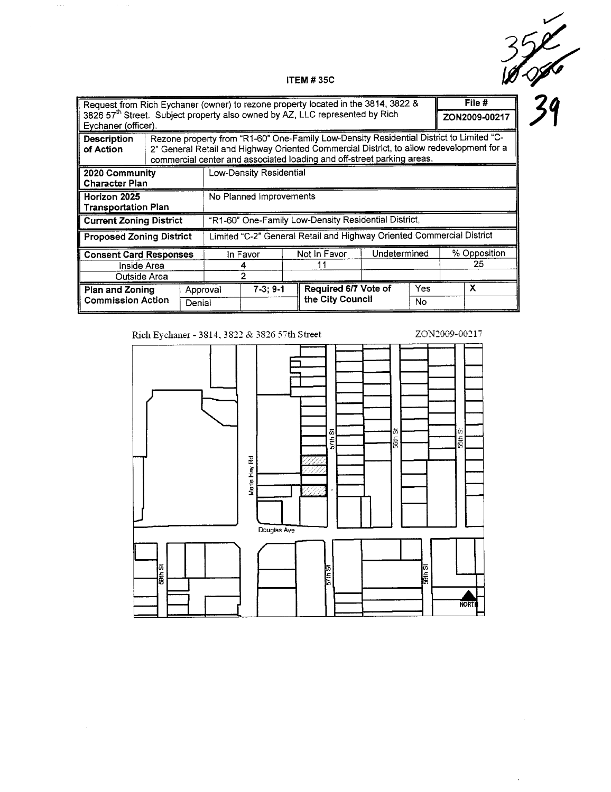$\mathcal{L}$  $\frac{352}{100}$ 

 $\mathcal{L}$ 

 $\langle \cdot \rangle$ 

#### ITEM # 35C

| Request from Rich Eychaner (owner) to rezone property located in the 3814, 3822 &                               |                             |                                                                                                                                                                                                                                                               |                                                                       |                         |  |                        |               | File # |              |  |
|-----------------------------------------------------------------------------------------------------------------|-----------------------------|---------------------------------------------------------------------------------------------------------------------------------------------------------------------------------------------------------------------------------------------------------------|-----------------------------------------------------------------------|-------------------------|--|------------------------|---------------|--------|--------------|--|
| 3826 57 <sup>th</sup> Street. Subject property also owned by AZ, LLC represented by Rich<br>Eychaner (officer). |                             |                                                                                                                                                                                                                                                               |                                                                       |                         |  |                        | ZON2009-00217 |        |              |  |
| Description<br>of Action                                                                                        |                             | Rezone property from "R1-60" One-Family Low-Density Residential District to Limited "C-<br>2" General Retail and Highway Oriented Commercial District, to allow redevelopment for a<br>commercial center and associated loading and off-street parking areas. |                                                                       |                         |  |                        |               |        |              |  |
| 2020 Community<br><b>Character Plan</b>                                                                         |                             |                                                                                                                                                                                                                                                               |                                                                       | Low-Density Residential |  |                        |               |        |              |  |
| Horizon 2025<br><b>Transportation Plan</b>                                                                      |                             |                                                                                                                                                                                                                                                               | No Planned Improvements                                               |                         |  |                        |               |        |              |  |
| <b>Current Zoning District</b>                                                                                  |                             |                                                                                                                                                                                                                                                               | "R1-60" One-Family Low-Density Residential District,                  |                         |  |                        |               |        |              |  |
| <b>Proposed Zoning District</b>                                                                                 |                             |                                                                                                                                                                                                                                                               | Limited "C-2" General Retail and Highway Oriented Commercial District |                         |  |                        |               |        |              |  |
| <b>Consent Card Responses</b>                                                                                   |                             |                                                                                                                                                                                                                                                               | In Favor                                                              |                         |  | Not in Favor           | Undetermined  |        | % Opposition |  |
| Inside Area                                                                                                     |                             |                                                                                                                                                                                                                                                               |                                                                       |                         |  |                        | 25            |        |              |  |
| Outside Area                                                                                                    |                             |                                                                                                                                                                                                                                                               |                                                                       | $\overline{2}$          |  |                        |               |        |              |  |
|                                                                                                                 | Approval<br>Plan and Zoning |                                                                                                                                                                                                                                                               |                                                                       | $7-3; 9-1$              |  | Required 6/7 Vote of   |               | Yes    | X            |  |
| <b>Commission Action</b><br>Denial                                                                              |                             |                                                                                                                                                                                                                                                               |                                                                       |                         |  | the City Council<br>No |               |        |              |  |

Rich Eychaner - 3814, 3822 & 3826 57th Street

 $\langle \cdot \rangle$ 

#### ZON2009-00217

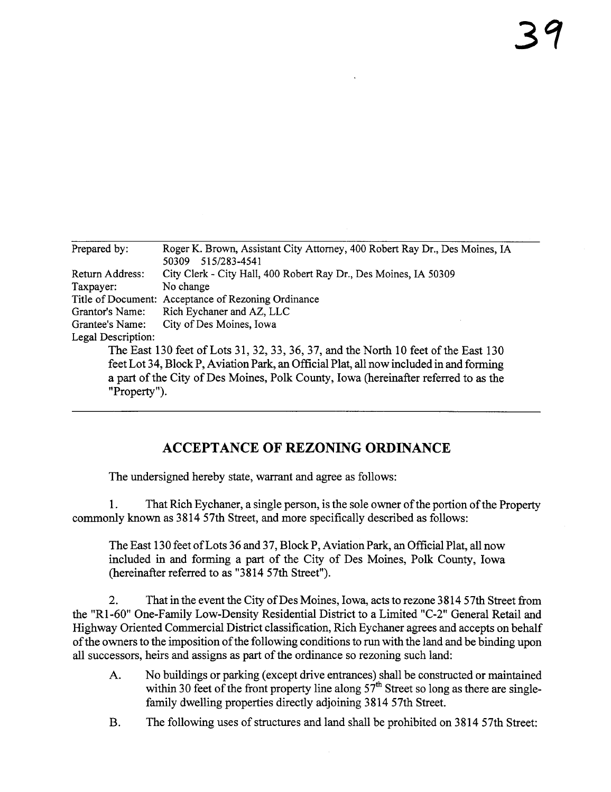| Prepared by:       | Roger K. Brown, Assistant City Attorney, 400 Robert Ray Dr., Des Moines, IA            |
|--------------------|----------------------------------------------------------------------------------------|
|                    | 515/283-4541<br>50309                                                                  |
| Return Address:    | City Clerk - City Hall, 400 Robert Ray Dr., Des Moines, IA 50309                       |
| Taxpayer:          | No change                                                                              |
|                    | Title of Document: Acceptance of Rezoning Ordinance                                    |
| Grantor's Name:    | Rich Eychaner and AZ, LLC                                                              |
| Grantee's Name:    | City of Des Moines, Iowa                                                               |
| Legal Description: |                                                                                        |
|                    | The East 130 feet of Lots 31, 32, 33, 36, 37, and the North 10 feet of the East 130    |
|                    | feet Lot 34, Block P, Aviation Park, an Official Plat, all now included in and forming |
|                    | a part of the City of Des Moines, Polk County, Iowa (hereinafter referred to as the    |
| "Property").       |                                                                                        |
|                    |                                                                                        |

# ACCEPTANCE OF REZONING ORDINANCE

The undersigned hereby state, warrant and agree as follows:

1. That Rich Eychaner, a single person, is the sole owner of the portion of the Propert commonly known as 3814 57th Street, and more specifically described as follows:

The East 130 feet of Lots 36 and 37, Block P, Aviation Park, an Official Plat, all now included in and forming a part of the City of Des Moines, Polk County, Iowa (hereinafter referred to as "3814 57th Street").

2. That in the event the City of Des Moines, Iowa, acts to rezone 3814 57th Street from the "R1-60" One-Family Low-Density Residential District to a Limited "C-2" General Retail and Highway Oriented Commercial District classification, Rich Eychaner agrees and accepts on behalf of the owners to the imposition of the following conditions to run with the land and be binding upon all successors, heirs and assigns as part of the ordinance so rezoning such land:

- A. No buildings or parking (except drive entrances) shall be constructed or maintained within 30 feet of the front property line along  $57<sup>th</sup>$  Street so long as there are singlefamily dwelling properties directly adjoining 3814 57th Street.
- B. The following uses of structures and land shall be prohibited on 3814 57th Street: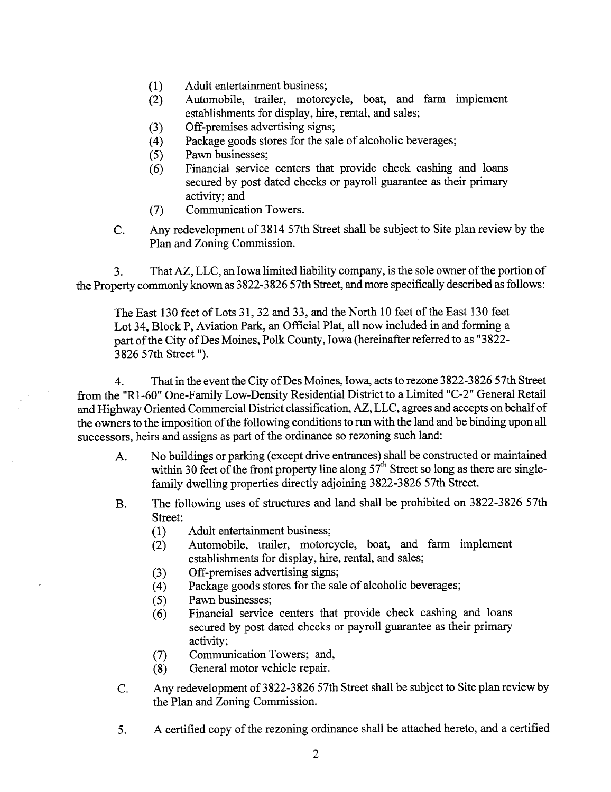- (1) Adult entertainment business;<br>(2) Automobile, trailer, motor
- Automobile, trailer, motorcycle, boat, and farm implement establishments for display, hire, rental, and sales;
- 
- (3) Off-premises advertising signs;<br>(4) Package goods stores for the sal (4) Package goods stores for the sale of alcoholic beverages;<br>(5) Pawn businesses;
- (5) Pawn businesses;<br>(6) Financial service
- Financial service centers that provide check cashing and loans secured by post dated checks or payroll guarantee as their primary activity; and
- (7) Communication Towers.
- C. Any redevelopment of 3814 57th Street shall be subject to Site plan review by the Plan and Zoning Commission.

3. That AZ, LLC, an Iowa limited liability company, is the sole owner of the portion of the Property commonly known as 3822-3826 57th Street, and more specifically described as follows:

The East 130 feet of Lots 31, 32 and 33, and the North 10 feet of the East 130 feet Lot 34, Block P, Aviation Park, an Official Plat, all now included in and forming a part of the City of Des Moines, Polk County, Iowa (hereinafter referred to as "3822-3826 57th Street ").

4. That in the event the City of Des Moines, Iowa, acts to rezone 3822-3826 57th Street from the "R1 -60" One-Family Low-Density Residential District to a Limted "C-2" General Retal and Highway Oriented Commercial District classification, AZ, LLC, agrees and accepts on behalf of the owners to the imposition of the following conditions to run with the land and be binding upon all successors, heirs and assigns as part of the ordinance so rezoning such land:

- A. No buildings or parking (except drve entrances) shall be constructed or maintained within 30 feet of the front property line along  $57<sup>th</sup>$  Street so long as there are singlefamily dwelling properties directly adjoining 3822-3826 57th Street.
- B. The following uses of structues and land shall be prohibited on 3822-3826 57th Street:
	-
	- (1) Adult entertainment business;<br>(2) Automobile, trailer, motorc Automobile, trailer, motorcycle, boat, and farm implement establishments for display, hie, rental, and sales;
	-
	- (3) Off-premises advertising signs;<br>(4) Package goods stores for the sal (4) Package goods stores for the sale of alcoholic beverages;<br>(5) Pawn businesses;
	- (5) Pawn businesses;<br>(6) Financial service
	- Financial service centers that provide check cashing and loans secured by post dated checks or payroll guarantee as their primary activity;
	- (7) Communication Towers; and,<br>(8) General motor vehicle repair.
	- General motor vehicle repair.
- C. Any redevelopment of3822-3826 57th Street shall be subject to Site plan review by the Plan and Zoning Commission.
- 5. A certified copy of the rezoning ordinance shall be attached hereto, and a certified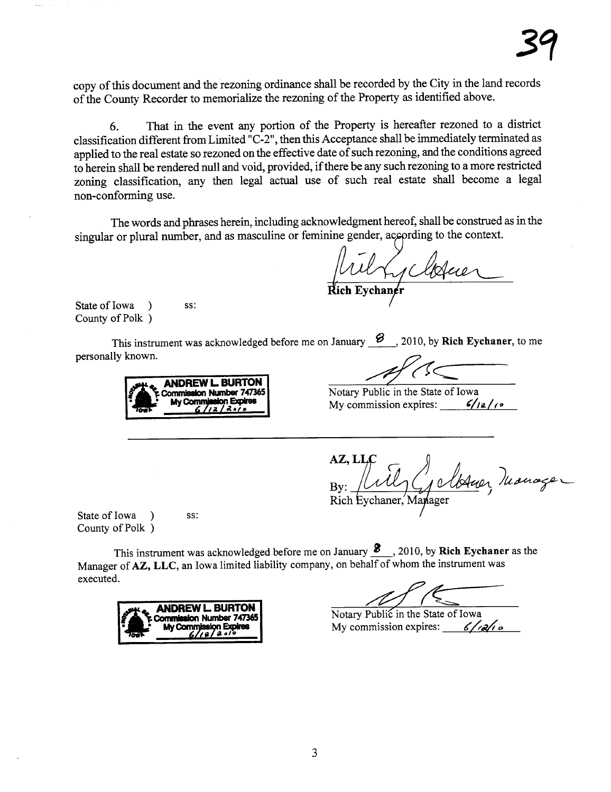copy of ths document and the rezonig ordinance shall be recorded by the City in the land records of the County Recorder to memorialize the rezoning of the Property as identified above.

6. That in the event any portion of the Property is hereafter rezoned to a district classification different from Limited "C-2", then this Acceptance shall be immediately terminated as applied to the real estate so rezoned on the effective date of such rezonig, and the conditions agreed to herein shall be rendered null and void, provided, if there be any such rezoning to a more restricted zoning classification, any then legal actual use of such real estate shall become a legal non-conforming use.

The words and phrases herein, including acknowledgment hereof, shall be constred as in the singular or plural number, and as masculine or feminine gender, according to the context.

und Ly Marie

State of Iowa ) ss: County of Polk )

This instrument was acknowledged before me on January  $\mathcal{B}$ , 2010, by Rich Eychaner, to me personally known.

**ANDREW L. BURTON**<br>Commission Number 747365 Framewood Mumber 747365<br>My Commission Expires: My commission expires: (12/10)<br>My commission expires: (12/10)

Notary Public in the State of Iowa

1 Manage Rich

State of Iowa ) ss: County of Polk )

This instrument was acknowledged before me on January  $\mathcal{S}$ , 2010, by Rich Eychaner as the Manager of AZ, LLC, an Iowa limited liability company, on behalf of whom the instrument was executed.



Notary Public in the State of Iowa My commission expires:  $6/18/16$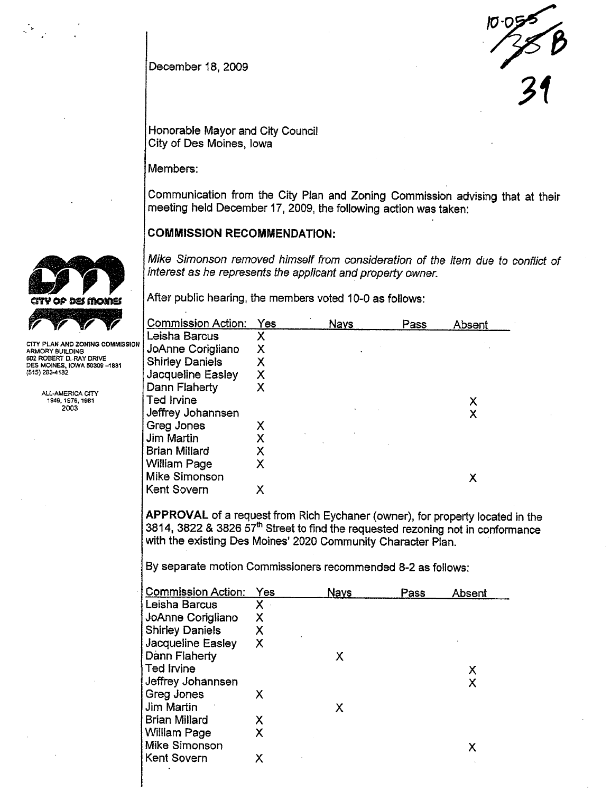

December 18, 2009

Honorable Mayor and City Council City of Des Moines, Iowa

Members:

Communication from the City Plan and Zoning Commission advising that at their meeting held December 17, 2009, the following action was taken:

### COMMISSION RECOMMENDATION:

Mike Simonson removed himself from consideration of the item due to conflict of interest as he represents the applicant and property owner.



ARMORY BUILDING 602 ROBERT D..RAY DRIVE DES MOINES, IOWA 50309 -1881  $(515)$  283-4182

> ALL-AMERICA CITY 1949, 1976. 1981 2003

After public hearing, the members voted 10-0 as follows:

| Commi <u>ssion Action:</u> | <b>Yes</b> | <b>Nays</b> | Pass | Absent |
|----------------------------|------------|-------------|------|--------|
| Leisha Barcus              |            |             |      |        |
| JoAnne Corigliano          | х          |             |      |        |
| <b>Shirley Daniels</b>     | Х          |             |      |        |
| Jacqueline Easley          | Х          |             |      |        |
| Dann Flaherty              | X          |             |      |        |
| Ted Irvine                 |            |             |      | х      |
| Jeffrey Johannsen          |            |             |      | Χ      |
| Greg Jones                 | x          |             |      |        |
| Jim Martin                 | х          |             |      |        |
| <b>Brian Millard</b>       | х          |             |      |        |
| William Page               | х          |             |      |        |
| Mike Simonson              |            |             |      | х      |
| Kent Sovern                | х          |             |      |        |
|                            |            |             |      |        |

APPROVAL of a request from Rich Eychaner (owner), for property located in the 3814,3822 & 3826 57th Street to find the requested rezoning not in conformance with the existing Des Moines' 2020 Community Character Plan.

By separate motion Commissioners recommended 8-2 as follows:

| <b>Commission Action:</b> | Yes | <b>Nays</b> | Pass | Absent |
|---------------------------|-----|-------------|------|--------|
| Leisha Barcus             | X.  |             |      |        |
| JoAnne Corigliano         | Χ   |             |      |        |
| <b>Shirley Daniels</b>    | Х   |             |      |        |
| Jacqueline Easley         | Χ   |             |      |        |
| Dann Flaherty             |     | х           |      |        |
| Ted Irvine                |     |             |      | Х      |
| Jeffrey Johannsen         |     |             |      | Χ      |
| Greg Jones                | x   |             |      |        |
| Jim Martin                |     | Χ           |      |        |
| Brian Millard             | Χ   |             |      |        |
| William Page              | χ   |             |      |        |
| Mike Simonson             |     |             |      | х      |
| Kent Sovern               |     |             |      |        |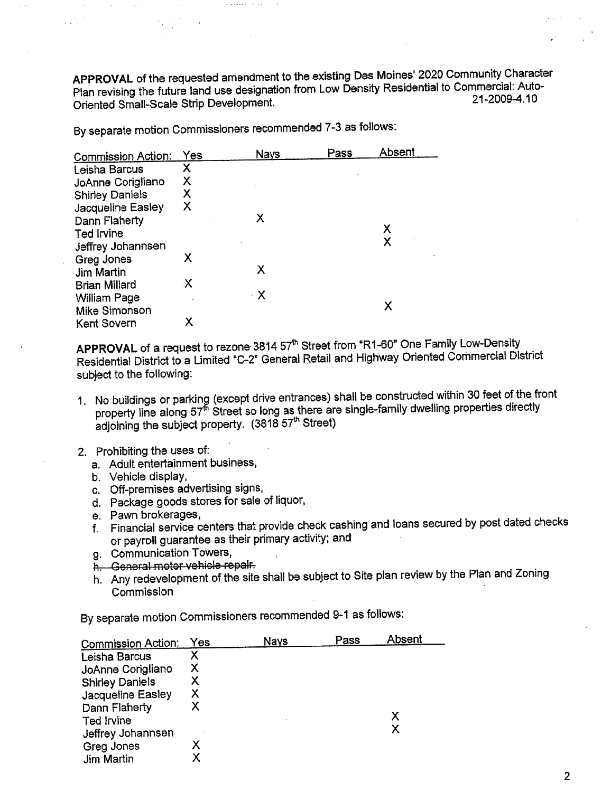APPROVAL of the requested amendment to the existing Des Moines' 2020 Community Character Plan revising the future land use designation from Low Density Residential to Commercial: Auto- Oriented Small-Scale Strip Development. 21-2009-4.10

Commission Action: Yes Nays Pass Absent<br>Leisha Barcus X Leisha Barcus X<br>JoAnne Corigliano X JoAnne Corigliano X Shirley Daniels X<br>Jacqueline Easley X Jacqueline Easley Dann Flaherty X Ted Irvine X<br>Ted Irvine X<br>Affray Johanneen X Jeffrey Johannsen <sup>X</sup> Greg Jones Jim Martin X **Brian Millard** Willam Page . X William Page<br>
Mike Simonson X<br>
Kent Sovern X Kent Sovern

By separate motion Commissioners recommended 7-3 as follows:

APPROVAL of a request to rezone 3814 57<sup>th</sup> Street from "R1-60" One Family Low-Density Residential District to a Umited "c-2" General Retail and Highway Oriented Commercial District subject to the following:

- 1. No buildings or parking (except drive entrances) shall be constructed within 30 feet of the front property line along 57<sup>th</sup> Street so long as there are single-family dwelling properties directly adjoining the subject property. (3818 57<sup>th</sup> Street)
- 2. Prohibiting the uses of:
	- a. Adult entertainment business,
	- b. Vehicle display,
	- c. Off-premises advertising signs,
	- d. Package goods stores for sale of liquor,
	- e. Pawn brokerages,
	- f. Financial service centers that provide check cashing and loans secured by post dated checks or payroll guarantee as their primary activity; and
	- g. Communication Towers,
	- h. General motor vehicle repair.
	- h. Any redevelopment of the site shall be subject to Site plan review by the Plan and Zoning **Commission**

By separate motion Commissioners recommended 9-1 as follows:

| <b>Commission Action:</b>   | Yes | <b>Nays</b> | Pass | Absent |
|-----------------------------|-----|-------------|------|--------|
| Leisha Barcus               |     |             |      |        |
| JoAnne Corigliano           | X   |             |      |        |
| <b>Shirley Daniels</b>      | х   |             |      |        |
| Jacqueline Easley           | X   |             |      |        |
| Dann Flaherty<br>Ted Irvine |     |             |      | х      |
| Jeffrey Johannsen           |     |             |      | х      |
| Greg Jones                  | х   |             |      |        |
| Jim Martin                  | х   |             |      |        |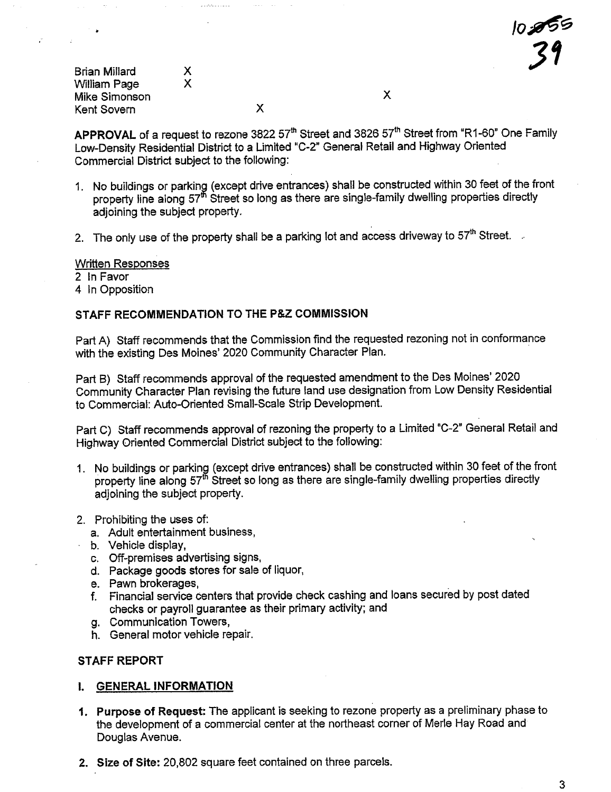| <b>Brian Millard</b> | x |   |  |
|----------------------|---|---|--|
| <b>William Page</b>  | х |   |  |
| Mike Simonson        |   |   |  |
| Kent Sovern          |   | х |  |

APPROVAL of a request to rezone 3822 57<sup>th</sup> Street and 3826 57<sup>th</sup> Street from "R1-60" One Family Low-Density Residential District to a Limited "C-2" General Retail and Highway Oriented Commercial District subject to the following:

- 1. No buildings or parking (except drive entrances) shall be constructed within 30 feet of the front property line along 57<sup>th</sup> Street so long as there are single-family dwelling properties directly adjoining the subject property.
- 2. The only use of the property shall be a parking lot and access driveway to  $57<sup>th</sup>$  Street.

#### Written Responses

2 In Favor

4 In Opposition

#### STAFF RECOMMENDATION TO THE P&Z COMMISSION

Part A) Staff recommends that the Commission find the requested rezoning not in conformance with the existing Des Moines' 2020 Community Character Plan.

Part B) Staff recommends approval of the requested amendment to the Des Moines' 2020 Community Character Plan revising the future land use designation from Low Density Residential to Commercial: Auto-Oriented Small-Scale Strip Development.

Part C) Staff recommends approval of rezoning the property to a Limited "C-2" General Retail and Highway Oriented Commercial District subject to the following:

- 1. No buildings or parking (except drive entrances) shall be constructed within 30 feet of the front property line along 57<sup>th</sup> Street so long as there are single-family dwelling properties directly adjoining the subject property.
- 2. Prohibiting the uses of:
	- a. Adult entertainment business,
	- b. Vehicle display,
	- c. Off-premises advertising signs,
	- d. Package goods stores for sale of liquor,
	- e. Pawn brokerages,
	- f. Financial service centers that provide check cashing and loans secured by post dated checks or payroll guarantee as their primary activity; and
	- g. Communication Towers,
	- h. General motor vehicle repair.

#### STAFF REPORT

#### i. GENERAL INFORMATION

- 1. Purpose of Request: The applicant is seeking to rezone property as a preliminary phase to the development of a commercial center at the northeast corner of Merle Hay Road and Douglas Avenue.
- 2. Size of Site: 20,802 square feet contained on three parcels.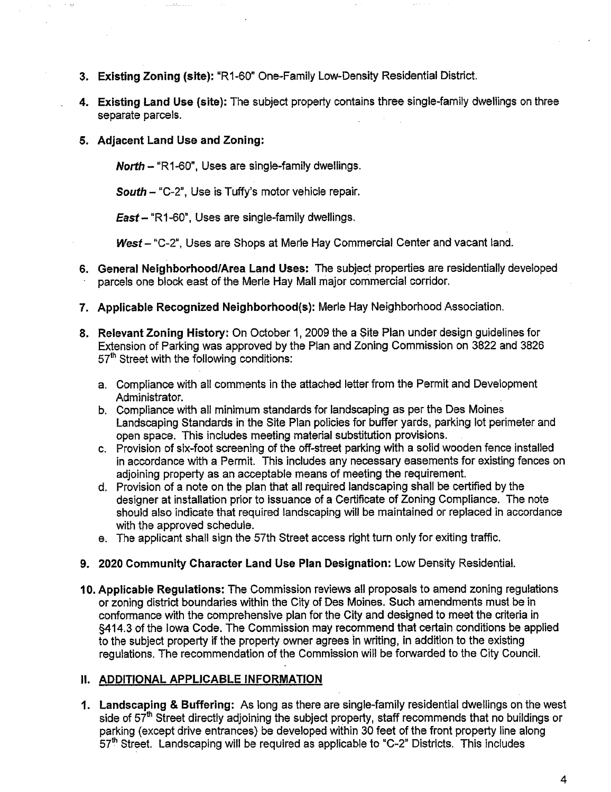- 3. Existing Zoning (site): "R1-60" One-Family Low-Density Residential District.
- 4. Existing Land Use (site): The subject property contains three single-family dwellings on three separate parcels.
- 5. Adjacent Land Use and Zoning:

North - "R1-60", Uses are single-family dwellngs.

South  $-$  "C-2", Use is Tuffy's motor vehicle repair.

 $East - "R1-60"$ , Uses are single-family dwellings.

West - "C-2", Uses are Shops at Merle Hay Commercial Center and vacant land.

- 6. General Neighborhood/Area Land Uses: The subject properties are residentially developed parcels one block east of the Merle Hay Mall major commercial corridor.
- 7. Applicable Recognized Neighborhood(s): Merle Hay Neighborhood Association.
- 8. Relevant Zoning History: On October 1,2009 the a Site Plan under design guidelines for Extension of Parking was approved by the Plan and Zoning Commission on 3822 and 3826 57<sup>th</sup> Street with the following conditions:
	- a. Compliance with all comments in the attached letter from the Permit and Development Administrator.
	- b. Compliance wih all minimum standards for landscaping as per the Des Moines Landscaping Standards in the Site Plan policies for buffer yards, parking lot perimeter and open space. This includes meeting material substitution provisions.
	- c. Provision of six-foot screening of the off-street parking with a solid wooden fence installed in accordance with a Permit. This includes any necessary easements for existing fences on adjoining property as an acceptable means of meeting the requirement.
	- d. Provision of a note on the plan that all required landscaping shall be certifed by the designer at installation prior to issuance of a Certificate of Zoning Compliance. The note should also indicate that required landscaping will be maintained or replaced in accordance with the approved schedule.
	- e. The applicant shall sign the 57th Street access right turn only for exiting traffc.

#### 9. 2020 Community Character Land Use Plan Designation: Low Density Residential.

10. Applicable Regulations: The Commission reviews all proposals to amend zoning regulations or zoning district boundaries within the City of Des Moines. Such amendments must be in conformance with the comprehensive plan for the City and designed to meet the crieria in §414.3 of the Iowa Code. The Commission may recommend that certain conditions be applied to the subject property if the property owner agrees in writing, in addition to the existing regulations. The recommendation of the Commission wil be forwarded to the City CounciL.

#### II. ADDITIONAL APPLICABLE INFORMATION

1. Landscaping & Buffering: As long as there are single-family residential dwellings on the west side of  $57<sup>th</sup>$  Street directly adjoining the subject property, staff recommends that no buildings or parking (except drive entrances) be developed within 30 feet of the front property line along  $57<sup>th</sup>$  Street. Landscaping will be required as applicable to "C-2" Districts. This includes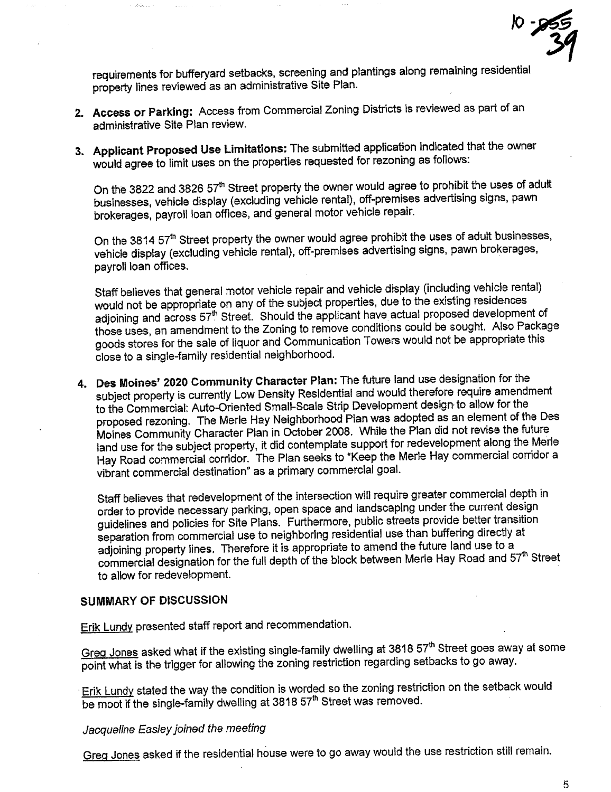$10 - 955$ 31

requirements for buferyard setbacks, screening and plantings along remaining residential property lines reviewed as an administrative Site Plan.

- 2. Access or Parking: Access from Commercial Zoning Districts is reviewed as part of an administrative Site Plan review.
- 3. Applicant Proposed Use Limitations: The submitted application indicated that the owner would agree to limit uses on the properties requested for rezoning as follows:

On the 3822 and 3826 57<sup>th</sup> Street property the owner would agree to prohibit the uses of adult businesses, vehicle display (excluding vehicle rental), off-premises advertising signs, pawn brokerages, payroll loan offices, and general motor vehicle repair.

On the 3814 57<sup>th</sup> Street property the owner would agree prohibit the uses of adult businesses, vehicle display (excluding vehicle rental), off-premises advertising signs, pawn brokerages, On the 3814 57" Street property the owner would agree promok the uses of addit t<br>vehicle display (excluding vehicle rental), off-premises advertising signs, pawn brol<br>payroll loan offices.

Staff believes that general motor vehicle repair and vehicle display (including vehicle rental) would not be appropriate on any of the subject properties, due to the existing residences adjoining and across 57<sup>th</sup> Street. Should the applicant have actual proposed development of those uses, an amendment to the Zoning to remove conditions could be sought. Also Package goods stores for the sale of liquor and Communication Towers would not be appropriate this close to a single-family residential neighborhood.

4. Des Moines' 2020 Community Character Plan: The future land use designation for the subject property is currently Low Density Residential and would therefore require amendment to the Commercial: Auto-Oriented Small-Scale Strip Development design to allow for the proposed rezoning. The Merle Hay Neighborhood Plan was adopted as an element of the Des Moines Community Character Plan in October 2008. While the Plan did not revise the future land use for the subject property, it did contemplate support for redevelopment along the Merle Hay Road commercial corridor. The Plan seeks to "Keep the Merle Hay commercial corrdor a vibrant commercial destination" as a primary commercial goal.

Staff believes that redevelopment of the intersection will require greater commercial depth in order to provide necessary parking, open space and landscaping under the current design guidelines and policies for Site Plans. Furthermore, public streets provide better transition separation from commercial use to neighboring residential use than buffering directly at adjoining property lines. Therefore it is appropriate to amend the future land use to a commercial designation for the full depth of the block between Merle Hay Road and 57th Street to allow for redevelopment.

## SUMMARY OF DISCUSSION

Erik Lundy presented staff report and recommendation.

Greg Jones asked what if the existing single-family dwelling at 3818 57<sup>th</sup> Street goes away at some point what is the trigger for allowing the zoning restriction regarding setbacks to go away.

Erik Lundy stated the way the condition is worded so the zoning restriction on the setback would be moot if the single-family dwelling at 3818 57<sup>th</sup> Street was removed.

## Jacqueline Easley joined the meeting

Greg Jones asked if the residential house were to go away would the use restriction still remain.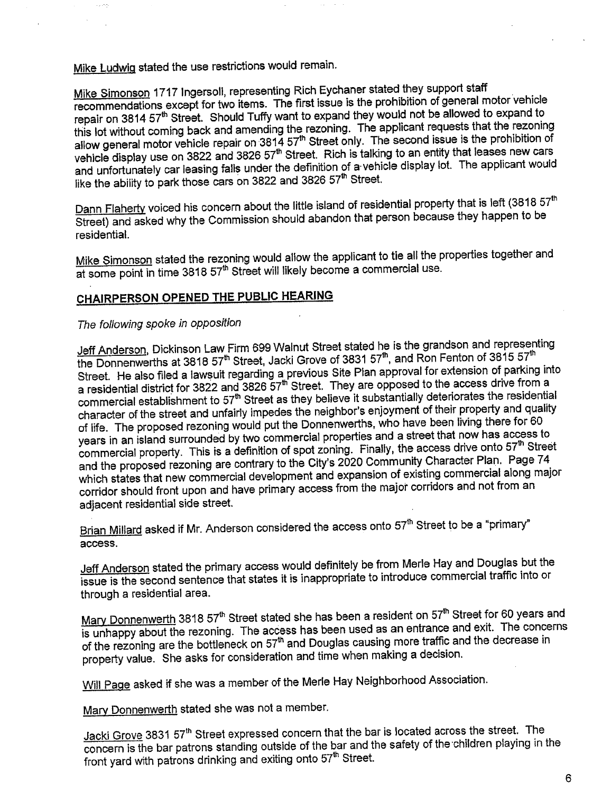Mike Ludwig stated the use restrictions would remain.

Mike Simonson 1717 Ingersoll, representing Rich Eychaner stated they support staff recommendations except for two items. The first issue is the prohibition of general motor vehicle repair on 3814 57<sup>th</sup> Street. Should Tuffy want to expand they would not be allowed to expand to<br>this lot without coming back and amending the rezoning. The applicant requests that the rezoning this lot without coming back and amending the rezoning. The applicant requests that the rezoning allow general motor vehicle repair on 3814 57" Street only. The second issue is the prohibition of vehicle display use on 3822 and 3826 57th Street. Rich is talking to an entity that leases new cars and unfortunately car leasing falls under the definition of a'vehicle display lot. The applicant would like the ability to park those cars on 3822 and 3826 57<sup>th</sup> Street.

Dann Flaherty voiced his concern about the little island of residential property that is left (3818 57<sup>th</sup> Street) and asked why the Commission should abandon that person because they happen to be residential.

Mike Simonson stated the rezoning would allow the applicant to tie all the properties together and at some point in time 3818 57<sup>th</sup> Street will likely become a commercial use.

## CHAIRPERSON OPENED THE PUBLIC HEARING

### The following spoke in opposition

<u>Jeff Anderson,</u> Dickinson Law Firm 699 Walnut Street stated he is the grandson and representing<br>the Donnenwerths at 3818 57<sup>th</sup> Street, Jacki Grove of 3831 57<sup>th</sup>, and Ron Fenton of 3815 57<sup>th</sup> the Donnenwerths at 3818 57th Street, Jacki Grove of 3831 57th, and Ron Fenton of 8816 57th, and Ron Fenton of  $\frac{1}{2}$ Street. He also filed a lawsuit regarding a previous Site Plan approval for extension of parking into<br>The capaca drive from a a residential district for 3822 and 3826 57th Street. They are opposed to the access drive from a commercial establishment to 57" Street as they believe it substantially deteriorated incredibility character of the street and unfairly impedes the neighbor's enjoyment of their property and quality of life. The proposed rezoning would put the Donnenwerths, who have been living there for 60 years in an island surrounded by two commercial properties and a street that now has access to commercial property. This is a definition of spot zoning. Finally, the access drive onto 57<sup>th</sup> Street and the proposed rezoning are contrary to the City's 2020 Community Character Plan. Page 74 which states that new commercial development and expansion of existing commercial along major corridor should front upon and have primary access from the major corndors and not from an adjacent residential side street.

Brian Millard asked if Mr. Anderson considered the access onto 57<sup>th</sup> Street to be a "primary" access.

Jeff Anderson stated the primary access would definitely be from Merle Hay and Douglas but the issue is the second sentence that states it is inappropriate to introduce commercial traffic into or through a residential area.

Mary Donnenwerth 3818 57<sup>th</sup> Street stated she has been a resident on 57<sup>th</sup> Street for 60 years and<br>is unhappy about the rezoning. The access has been used as an entrance and exit. The concerns is unhappy about the rezoning. The acèess has been used as an entrance and exit. The concerns of the rezoning are the bottleneck on 57th and Douglas causing more trains and the decrease in property value. She asks for consideration and time when making a decision.

Will Page asked if she was a member of the Merle Hay Neighborhood Association.

Mary Donnenwerth stated she was not a member.

Jacki Grove 3831 57<sup>th</sup> Street expressed concern that the bar is located across the street. The concern is the bar patrons standing outside of the bar and the safety of the 'children playing in the front yard with patrons drinking and exiting onto 57<sup>th</sup> Street.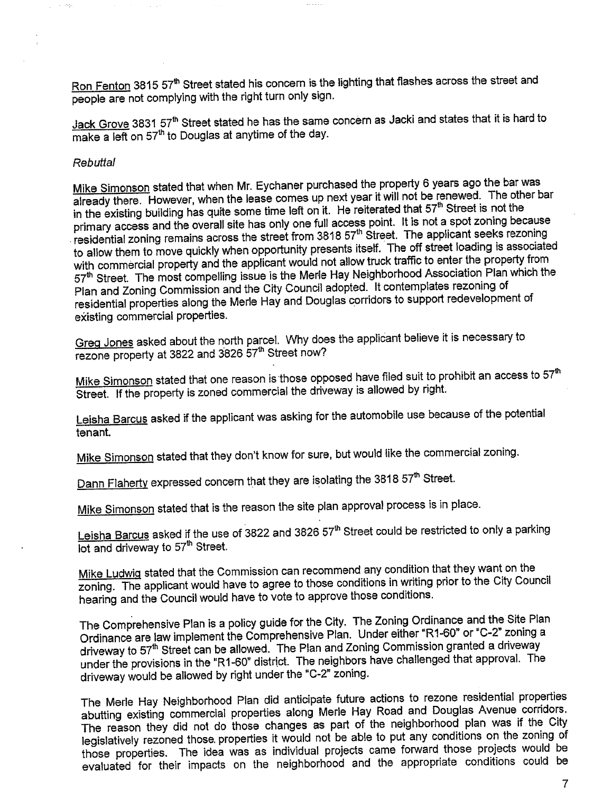Ron Fenton 3815 57<sup>th</sup> Street stated his concern is the lighting that flashes across the street and people are not complying with the right turn only sign.

Jack Grove 3831 57<sup>th</sup> Street stated he has the same concern as Jacki and states that it is hard to make a left on 57<sup>th</sup> to Douglas at anytime of the day.

#### Rebuttal

Mike Simonson stated that when Mr. Eychaner purchased the property 6 years ago the bar was already there. However, when the lease comes up next year it will not be renewed. The other bar in the existing building has quite some time left on it. He reiterated that 57<sup>th</sup> Street is not the primary access and the overall site has only one full access point. It is not a spot zoning because residential zoning remains across the street from 3818 57<sup>th</sup> Street. The applicant seeks rezoning to allow them to move quickly when opportunity presents itself. The off street loading is associated with commercial property and the applicant would not allow truck traffic to enter the property from 57<sup>th</sup> Street. The most compelling issue is the Merle Hay Neighborhood Association Plan which the Plan and Zoning Commission and the City Council adopted. It contemplates rezoning of residential properties along the Merle Hay and Douglas corridors to support redevelopment of existing commercial properties.

Greg Jones asked about the north parcel. Why does the applicant believe it is necessary to rezone property at 3822 and 3826 57<sup>th</sup> Street now?

Mike Simonson stated that one reason is those opposed have filed suit to prohibit an access to 57<sup>th</sup> Street. If the property is zoned commercial the driveway is allowed by right.

Leisha Barcus asked if the applicant was asking for the automobile use because of the potential tenant.

Mike Simonson stated that they don't know for sure, but would like the commercial zoning.

Dann Flaherty expressed concern that they are isolating the 3818 57<sup>th</sup> Street.

Mike Simonson stated that is the reason the site plan approval process is in place.

Leisha Barcus asked if the use of 3822 and 3826 57<sup>th</sup> Street could be restricted to only a parking lot and driveway to 57<sup>th</sup> Street.

Mike Ludwiq stated that the Commission can recommend any condition that they want on the zoning. The applicant would have to agree to those conditions in writing prior to the City Council hearing and the Council would have to vote to approve those conditions.

The Comprehensive Plan is a policy guide for the City. The Zoning Ordinance and the Site Plan Ordinance are law implement the Comprehensive Plan. Under either "R1-60" or "C-2" zoning a driveway to 57<sup>th</sup> Street can be allowed. The Plan and Zoning Commission granted a driveway under the provisions in the "R1-60" district. The neighbors have challenged that approval. The driveway would be allowed by right under the "C-2" zoning.

The Merle Hay Neighborhood Plan did anticipate future actions to rezone residential properties abuting existing commercial properties along Merle Hay Road and Douglas Avenue corridors. The reason they did not do those changes as part of the neighborhood plan was if the City legislatively rezoned those. properties it would not be able to put any conditions on the zoning of those properties. The idea was as individual projects came forward those projects would be evaluated for their impacts on the neighborhood and the appropriate conditions could be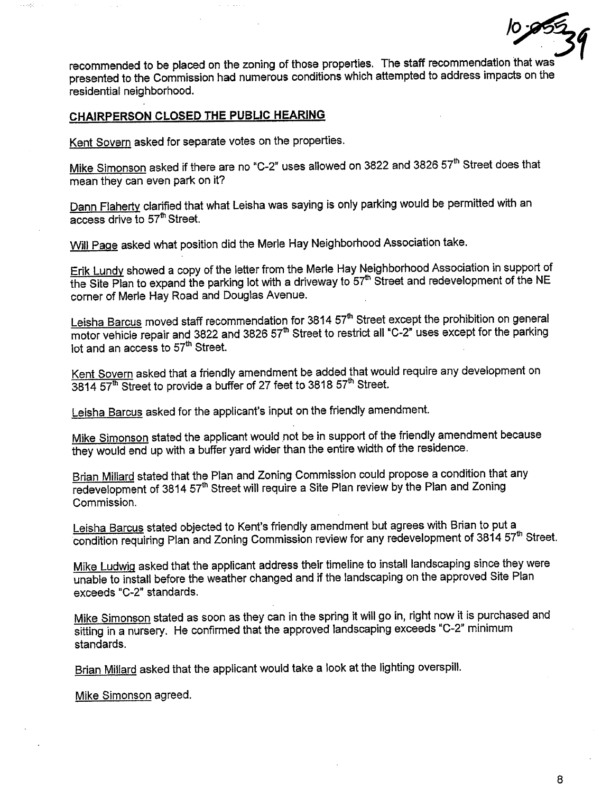

recommended to be placed on the zoning of those properties. The staff recommendation that was presented to the Commission had numerous conditions which attempted to address impacts on the residential neighborhood.

.. ~

## CHAIRPERSON CLOSED THE PUBLIC HEARING

Kent Sovern asked for separate votes on the properties.

Mike Simonson asked if there are no "C-2" uses allowed on 3822 and 3826 57<sup>th</sup> Street does that mean they can even park on it?

Dann Flaherty clarified that what Leisha was saying is only parking would be permitted with an  $\overline{access}$  drive to 57<sup>th</sup> Street.

Will Page asked what position did the Merle Hay Neighborhood Association take.

Erik Lundy showed a copy of the letter from the Merle Hay Neighborhood Association in support of the Site Plan to expand the parking lot with a driveway to 57<sup>th</sup> Street and redevelopment of the NE corner of Merle Hay Road and Douglas Avenue.

Leisha Barcus moved staff recommendation for 3814 57<sup>th</sup> Street except the prohibition on general motor vehicle repair and 3822 and 3826 57<sup>th</sup> Street to restrict all "C-2" uses except for the parking lot and an access to 57<sup>th</sup> Street.

Kent Sovern asked that a friendly amendment be added that would require any development on 3814 57<sup>th</sup> Street to provide a buffer of 27 feet to 3818 57<sup>th</sup> Street.

Leisha Barcus asked for the applicant's input on the friendly amendment.

Mike Simonson stated the applicant would not be in support of the friendly amendment because they would end up with a buffer yard wider than the entire width of the residence.

Brian Milard stated that the Plan and Zoning Commission could propose a condition that any redevelopment of 3814 57<sup>th</sup> Street will require a Site Plan review by the Plan and Zoning Commission.

Leisha Barcus stated objected to Kent's friendly amendment but agrees with Brian to put a condition requiring Plan and Zoning Commission review for any redevelopment of 3814 57<sup>th</sup> Street.

Mike Ludwig asked that the applicant address their timeline to install landscaping since they were unable to install before the weather changed and if the landscaping on the approved Site Plan exceeds "C-2" standards.

Mike Simonson stated as soon as they can in the spring it will go in, right now it is purchased and sitting in a nursery. He confirmed that the approved landscaping exceeds "C-2" minimum standards.

Brian Milard asked that the applicant would take a look at the lighting overspil.

Mike Simonson agreed.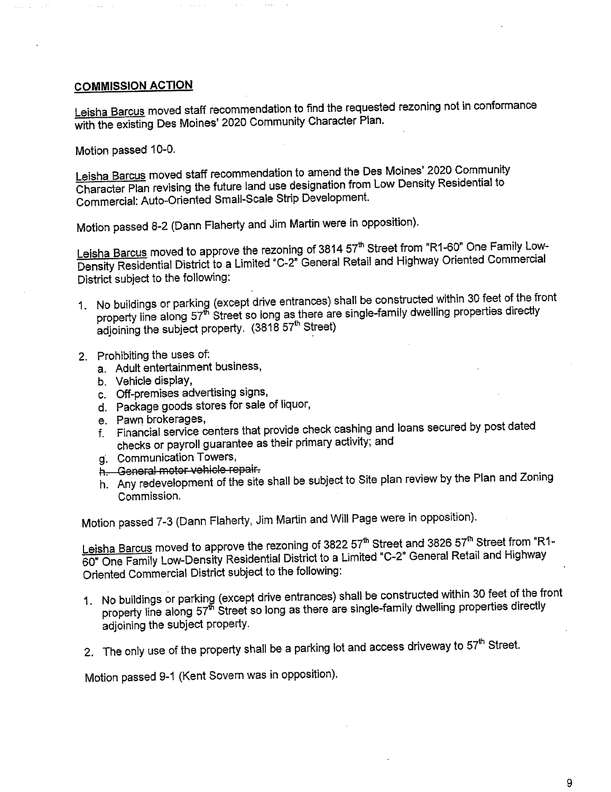### COMMISSION ACTION

Leisha Barcus moved staff recommendation to find the requested rezoning not in conformance with the existing Des Moines' 2020 Community Character Plan.

Motion passed 10-0.

Leisha Barcus moved staff recommendation to amend the Des Moines' 2020 Community Character Plan revising the future land use designation from Low Density Residential to Commercial: Auto-Oriented Small-Scale Strip Development.

Motion passed 8-2 (Dann Flaherty and Jim Martin were in opposition).

Leisha Barcus moved to approve the rezoning of 3814 57<sup>th</sup> Street from "R1-60" One Family Low-Density Residential District to a Limited "C-2" General Retail and Highway Oriented Commercial District subject to the following:

- 1. No buildings or parking (except drive entrances) shall be constructed within 30 feet of the front property line along 57<sup>th</sup> Street so long as there are single-family dwelling properties directly adjoining the subject property. (3818 57<sup>th</sup> Street)
- 2. Prohibiting the uses of:
	- a. Adult entertainment business,
	- b. Vehicle display,
	- c. Off-premises advertising signs,
	- d. Package goods stores for sale of liquor,
	- e. Pawn brokerages,
	- f. Financial service centers that provide check cashing and loans secured by p checks or payroll guarantee as their primary activity; and<br>g. Communication Towers,
	-
	- h. General motor vehicle repair.
	- h. Any redevelopment of the site shall be subject to Site plan review by the Plan and Zoning Commission.

Motion passed 7-3 (Dann Flaherty, Jim Martin and Will Page were in opposition).

Leisha Barcus moved to approve the rezoning of 3822 57<sup>th</sup> Street and 3826 57<sup>th</sup> Street from "R1-60" One Family Low-Density Residential District to a Limited "C-2" General Retail and Highway Oriented Commercial District subject to the following:

- 1. No buildings or parking (except drive entrances) shall be constructed within 30 feet of the front property line along 57<sup>th</sup> Street so long as there are single-family dwelling properties directly adjoining the subject property.
- 2. The only use of the property shall be a parking lot and access driveway to  $57<sup>th</sup>$  Street.

Motion passed 9-1 (Kent Sovern was in opposition).